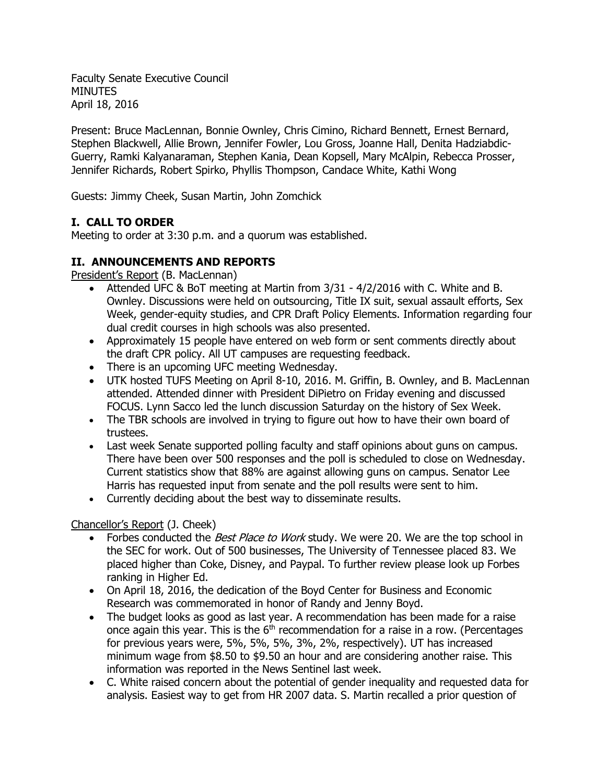Faculty Senate Executive Council **MINUTES** April 18, 2016

Present: Bruce MacLennan, Bonnie Ownley, Chris Cimino, Richard Bennett, Ernest Bernard, Stephen Blackwell, Allie Brown, Jennifer Fowler, Lou Gross, Joanne Hall, Denita Hadziabdic-Guerry, Ramki Kalyanaraman, Stephen Kania, Dean Kopsell, Mary McAlpin, Rebecca Prosser, Jennifer Richards, Robert Spirko, Phyllis Thompson, Candace White, Kathi Wong

Guests: Jimmy Cheek, Susan Martin, John Zomchick

# **I. CALL TO ORDER**

Meeting to order at 3:30 p.m. and a quorum was established.

## **II. ANNOUNCEMENTS AND REPORTS**

President's Report (B. MacLennan)

- Attended UFC & BoT meeting at Martin from 3/31 4/2/2016 with C. White and B. Ownley. Discussions were held on outsourcing, Title IX suit, sexual assault efforts, Sex Week, gender-equity studies, and CPR Draft Policy Elements. Information regarding four dual credit courses in high schools was also presented.
- Approximately 15 people have entered on web form or sent comments directly about the draft CPR policy. All UT campuses are requesting feedback.
- There is an upcoming UFC meeting Wednesday.
- UTK hosted TUFS Meeting on April 8-10, 2016. M. Griffin, B. Ownley, and B. MacLennan attended. Attended dinner with President DiPietro on Friday evening and discussed FOCUS. Lynn Sacco led the lunch discussion Saturday on the history of Sex Week.
- The TBR schools are involved in trying to figure out how to have their own board of trustees.
- Last week Senate supported polling faculty and staff opinions about guns on campus. There have been over 500 responses and the poll is scheduled to close on Wednesday. Current statistics show that 88% are against allowing guns on campus. Senator Lee Harris has requested input from senate and the poll results were sent to him.
- Currently deciding about the best way to disseminate results.

## Chancellor's Report (J. Cheek)

- Forbes conducted the Best Place to Work study. We were 20. We are the top school in the SEC for work. Out of 500 businesses, The University of Tennessee placed 83. We placed higher than Coke, Disney, and Paypal. To further review please look up Forbes ranking in Higher Ed.
- On April 18, 2016, the dedication of the Boyd Center for Business and Economic Research was commemorated in honor of Randy and Jenny Boyd.
- The budget looks as good as last year. A recommendation has been made for a raise once again this year. This is the  $6<sup>th</sup>$  recommendation for a raise in a row. (Percentages for previous years were, 5%, 5%, 5%, 3%, 2%, respectively). UT has increased minimum wage from \$8.50 to \$9.50 an hour and are considering another raise. This information was reported in the News Sentinel last week.
- C. White raised concern about the potential of gender inequality and requested data for analysis. Easiest way to get from HR 2007 data. S. Martin recalled a prior question of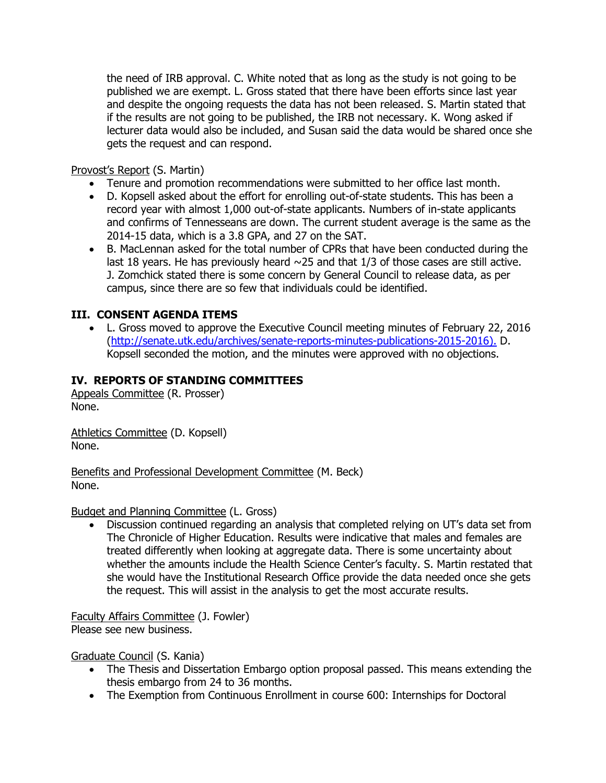the need of IRB approval. C. White noted that as long as the study is not going to be published we are exempt. L. Gross stated that there have been efforts since last year and despite the ongoing requests the data has not been released. S. Martin stated that if the results are not going to be published, the IRB not necessary. K. Wong asked if lecturer data would also be included, and Susan said the data would be shared once she gets the request and can respond.

Provost's Report (S. Martin)

- Tenure and promotion recommendations were submitted to her office last month.
- D. Kopsell asked about the effort for enrolling out-of-state students. This has been a record year with almost 1,000 out-of-state applicants. Numbers of in-state applicants and confirms of Tennesseans are down. The current student average is the same as the 2014-15 data, which is a 3.8 GPA, and 27 on the SAT.
- B. MacLennan asked for the total number of CPRs that have been conducted during the last 18 years. He has previously heard  $\sim$ 25 and that 1/3 of those cases are still active. J. Zomchick stated there is some concern by General Council to release data, as per campus, since there are so few that individuals could be identified.

## **III. CONSENT AGENDA ITEMS**

 L. Gross moved to approve the Executive Council meeting minutes of February 22, 2016 [\(http://senate.utk.edu/archives/senate-reports-minutes-publications-2015-2016\)](http://senate.utk.edu/archives/senate-reports-minutes-publications-2015-2016). D. Kopsell seconded the motion, and the minutes were approved with no objections.

## **IV. REPORTS OF STANDING COMMITTEES**

Appeals Committee (R. Prosser) None.

Athletics Committee (D. Kopsell) None.

Benefits and Professional Development Committee (M. Beck) None.

#### Budget and Planning Committee (L. Gross)

 Discussion continued regarding an analysis that completed relying on UT's data set from The Chronicle of Higher Education. Results were indicative that males and females are treated differently when looking at aggregate data. There is some uncertainty about whether the amounts include the Health Science Center's faculty. S. Martin restated that she would have the Institutional Research Office provide the data needed once she gets the request. This will assist in the analysis to get the most accurate results.

Faculty Affairs Committee (J. Fowler) Please see new business.

Graduate Council (S. Kania)

- The Thesis and Dissertation Embargo option proposal passed. This means extending the thesis embargo from 24 to 36 months.
- The Exemption from Continuous Enrollment in course 600: Internships for Doctoral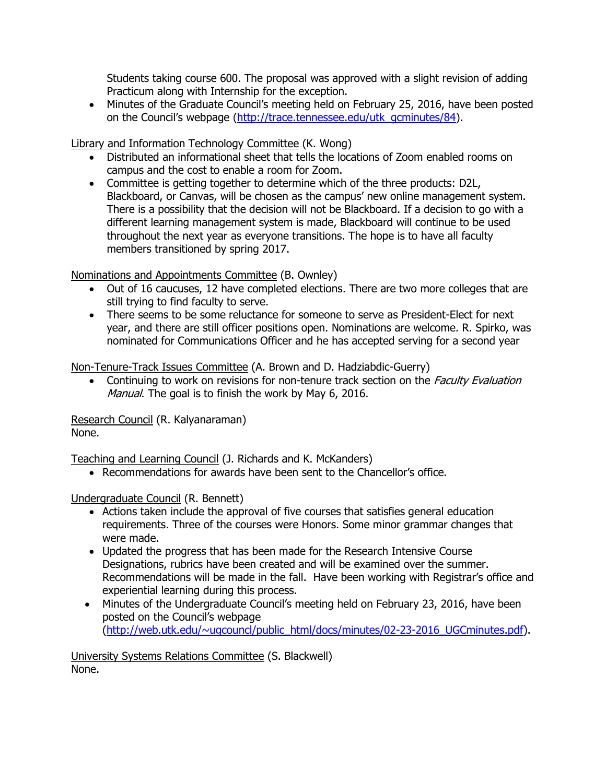Students taking course 600. The proposal was approved with a slight revision of adding Practicum along with Internship for the exception.

 Minutes of the Graduate Council's meeting held on February 25, 2016, have been posted on the Council's webpage [\(http://trace.tennessee.edu/utk\\_gcminutes/84\)](http://trace.tennessee.edu/utk_gcminutes/84).

Library and Information Technology Committee (K. Wong)

- Distributed an informational sheet that tells the locations of Zoom enabled rooms on campus and the cost to enable a room for Zoom.
- Committee is getting together to determine which of the three products: D2L, Blackboard, or Canvas, will be chosen as the campus' new online management system. There is a possibility that the decision will not be Blackboard. If a decision to go with a different learning management system is made, Blackboard will continue to be used throughout the next year as everyone transitions. The hope is to have all faculty members transitioned by spring 2017.

Nominations and Appointments Committee (B. Ownley)

- Out of 16 caucuses, 12 have completed elections. There are two more colleges that are still trying to find faculty to serve.
- There seems to be some reluctance for someone to serve as President-Elect for next year, and there are still officer positions open. Nominations are welcome. R. Spirko, was nominated for Communications Officer and he has accepted serving for a second year

Non-Tenure-Track Issues Committee (A. Brown and D. Hadziabdic-Guerry)

• Continuing to work on revisions for non-tenure track section on the Faculty Evaluation Manual. The goal is to finish the work by May 6, 2016.

Research Council (R. Kalyanaraman) None.

Teaching and Learning Council (J. Richards and K. McKanders)

Recommendations for awards have been sent to the Chancellor's office.

Undergraduate Council (R. Bennett)

- Actions taken include the approval of five courses that satisfies general education requirements. Three of the courses were Honors. Some minor grammar changes that were made.
- Updated the progress that has been made for the Research Intensive Course Designations, rubrics have been created and will be examined over the summer. Recommendations will be made in the fall. Have been working with Registrar's office and experiential learning during this process.
- Minutes of the Undergraduate Council's meeting held on February 23, 2016, have been posted on the Council's webpage [\(http://web.utk.edu/~ugcouncl/public\\_html/docs/minutes/02-23-2016\\_UGCminutes.pdf\)](http://web.utk.edu/~ugcouncl/public_html/docs/minutes/02-23-2016_UGCminutes.pdf).

University Systems Relations Committee (S. Blackwell) None.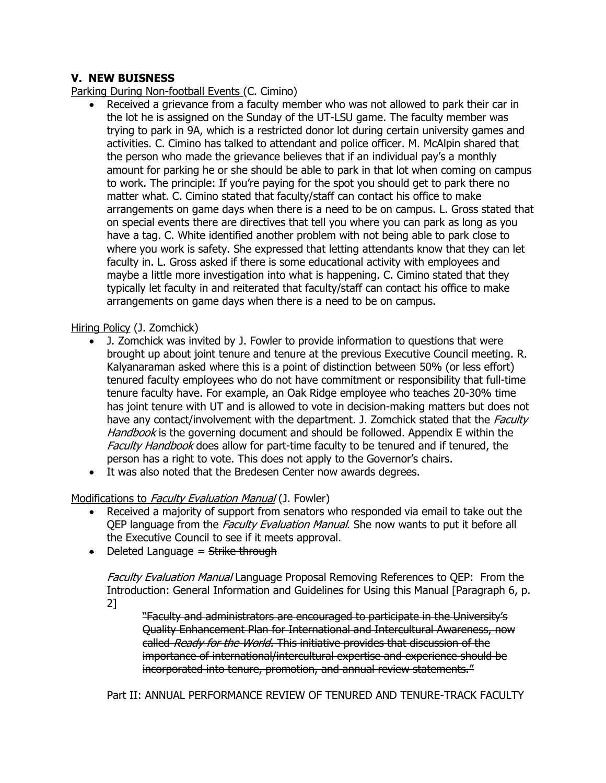## **V. NEW BUISNESS**

Parking During Non-football Events (C. Cimino)

 Received a grievance from a faculty member who was not allowed to park their car in the lot he is assigned on the Sunday of the UT-LSU game. The faculty member was trying to park in 9A, which is a restricted donor lot during certain university games and activities. C. Cimino has talked to attendant and police officer. M. McAlpin shared that the person who made the grievance believes that if an individual pay's a monthly amount for parking he or she should be able to park in that lot when coming on campus to work. The principle: If you're paying for the spot you should get to park there no matter what. C. Cimino stated that faculty/staff can contact his office to make arrangements on game days when there is a need to be on campus. L. Gross stated that on special events there are directives that tell you where you can park as long as you have a tag. C. White identified another problem with not being able to park close to where you work is safety. She expressed that letting attendants know that they can let faculty in. L. Gross asked if there is some educational activity with employees and maybe a little more investigation into what is happening. C. Cimino stated that they typically let faculty in and reiterated that faculty/staff can contact his office to make arrangements on game days when there is a need to be on campus.

### Hiring Policy (J. Zomchick)

- J. Zomchick was invited by J. Fowler to provide information to questions that were brought up about joint tenure and tenure at the previous Executive Council meeting. R. Kalyanaraman asked where this is a point of distinction between 50% (or less effort) tenured faculty employees who do not have commitment or responsibility that full-time tenure faculty have. For example, an Oak Ridge employee who teaches 20-30% time has joint tenure with UT and is allowed to vote in decision-making matters but does not have any contact/involvement with the department. J. Zomchick stated that the Faculty Handbook is the governing document and should be followed. Appendix E within the Faculty Handbook does allow for part-time faculty to be tenured and if tenured, the person has a right to vote. This does not apply to the Governor's chairs.
- It was also noted that the Bredesen Center now awards degrees.

## Modifications to Faculty Evaluation Manual (J. Fowler)

- Received a majority of support from senators who responded via email to take out the OEP language from the *Faculty Evaluation Manual*. She now wants to put it before all the Executive Council to see if it meets approval.
- $\bullet$  Deleted Language = Strike through

Faculty Evaluation Manual Language Proposal Removing References to QEP: From the Introduction: General Information and Guidelines for Using this Manual [Paragraph 6, p. 2]

"Faculty and administrators are encouraged to participate in the University's Quality Enhancement Plan for International and Intercultural Awareness, now called Ready for the World. This initiative provides that discussion of the importance of international/intercultural expertise and experience should be incorporated into tenure, promotion, and annual review statements."

Part II: ANNUAL PERFORMANCE REVIEW OF TENURED AND TENURE-TRACK FACULTY